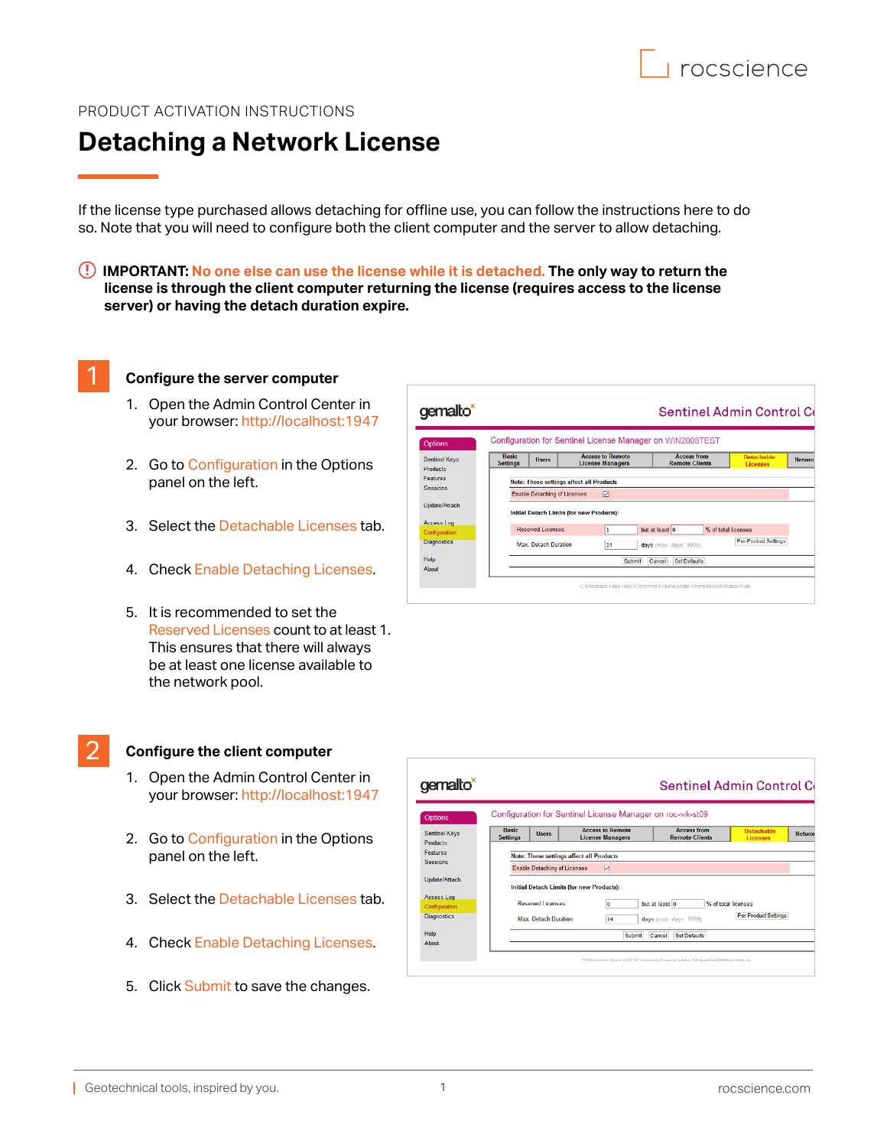## PRODUCT ACTIVATION INSTRUCTIONS

# **Detaching a Network License**

If the license type purchased allows detaching for offline use, you can follow the instructions here to do so. Note that you will need to configure both the client computer and the server to allow detaching.

 **IMPORTANT: No one else can use the license while it is detached. The only way to return the license is through the client computer returning the license (requires access to the license server) or having the detach duration expire.** 

### 1 **Configure the server computer**

- 1. Open the Admin Control Center in your browser: <http://localhost:1947>
- 2. Go to Configuration in the Options panel on the left.
- 3. Select the Detachable Licenses tab.
- 4. Check Enable Detaching Licenses.
- 5. It is recommended to set the Reserved Licenses count to at least 1. This ensures that there will always be at least one license available to the network pool.

#### 2 **Configure the client computer**

- 1. Open the Admin Control Center in your browser: <http://localhost:1947>
- 2. Go to Configuration in the Options panel on the left.
- 3. Select the Detachable Licenses tab.
- 4. Check Enable Detaching Licenses.
- 5. Click Submit to save the changes.



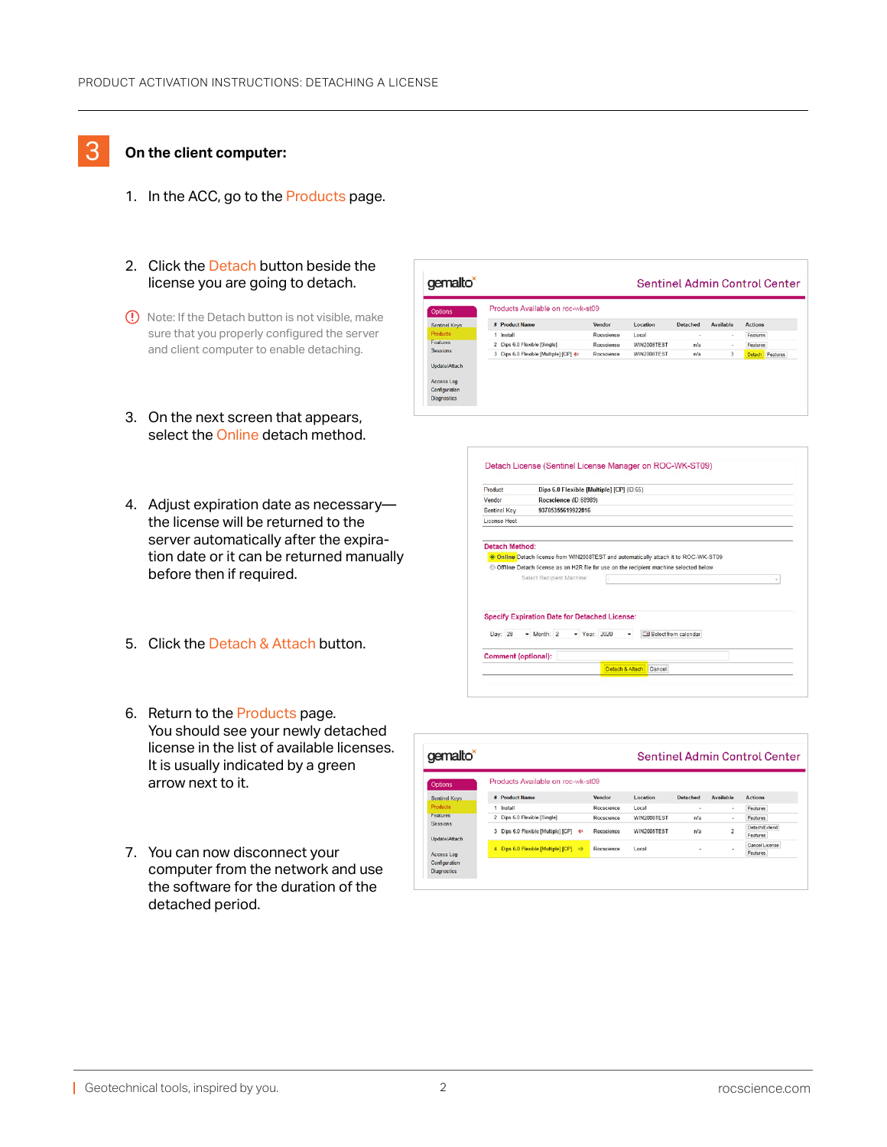## 3 **On the client computer:**

- 1. In the ACC, go to the Products page.
- 2. Click the Detach button beside the license you are going to detach.
- (1) Note: If the Detach button is not visible, make sure that you properly configured the server and client computer to enable detaching.
- 3. On the next screen that appears, select the Online detach method.
- 4. Adjust expiration date as necessary the license will be returned to the server automatically after the expiration date or it can be returned manually before then if required.
- 5. Click the Detach & Attach button.
- 6. Return to the Products page. You should see your newly detached license in the list of available licenses. It is usually indicated by a green arrow next to it.
- 7. You can now disconnect your computer from the network and use the software for the duration of the detached period.

| gemalto <sup>*</sup> |                                                       |            | <b>Sentinel Admin Control Center</b> |          |                  |                 |  |
|----------------------|-------------------------------------------------------|------------|--------------------------------------|----------|------------------|-----------------|--|
| <b>Options</b>       | Products Available on roc-wk-st09                     |            |                                      |          |                  |                 |  |
| <b>Sentinel Keys</b> | <b># Product Name</b>                                 | Vendor     | Location                             | Detached | <b>Available</b> | <b>Actions</b>  |  |
| Products             | 1 Install                                             | Rocscience | Local                                | $\sim$   | $\sim$           | Features        |  |
| <b>Features</b>      | 2 Dips 6.0 Flexible [Single]                          | Rocscience | WIN2008TEST                          | n/a      | ٠                | Features        |  |
| <b>Sessions</b>      | 3 Dips 6.0 Flexible [Multiple] [CP] $\Leftrightarrow$ | Rocscience | WIN2008TEST                          | n/a      | 3                | Detach Features |  |
| Update/Attach        |                                                       |            |                                      |          |                  |                 |  |
| Access Log           |                                                       |            |                                      |          |                  |                 |  |
| Configuration        |                                                       |            |                                      |          |                  |                 |  |
| <b>Diagnostics</b>   |                                                       |            |                                      |          |                  |                 |  |

|              | Dips 6.0 Flexible [Multiple] [CP] (ID:65)                                                                            |  |  |  |  |
|--------------|----------------------------------------------------------------------------------------------------------------------|--|--|--|--|
| Vendor       | Rocscience (ID:68989)                                                                                                |  |  |  |  |
| Sentinel Key | 93705355619922816                                                                                                    |  |  |  |  |
| License Host |                                                                                                                      |  |  |  |  |
|              | © Offline Detach license as an H2R file for use on the recipient machine selected below<br>Select Recipient Machine: |  |  |  |  |
|              |                                                                                                                      |  |  |  |  |
|              | <b>Specify Expiration Date for Detached License:</b>                                                                 |  |  |  |  |
| Day: 28      | <b>En Select from calendar</b><br>$-$ Month: $2$<br>$-$ Year: 2020                                                   |  |  |  |  |

| gemalto <sup>*</sup>                |                                                       |            |             |          |                | <b>Sentinel Admin Control Center</b> |
|-------------------------------------|-------------------------------------------------------|------------|-------------|----------|----------------|--------------------------------------|
| Options                             | Products Available on roc-wk-st09                     |            |             |          |                |                                      |
| <b>Sentinel Keys</b>                | <b># Product Name</b>                                 | Vendor     | Location    | Detached | Available      | <b>Actions</b>                       |
| <b>Products</b>                     | 1 Install                                             | Rocscience | Local       | $\;$     | $\blacksquare$ | Features                             |
| <b>Features</b>                     | 2 Dips 6.0 Flexible [Single]                          | Rocscience | WIN2008TEST | n/a      | $\alpha$       | Features                             |
| <b>Sessions</b><br>Undate/Attach    | 3 Dips 6.0 Flexible [Multiple] [CP] $\Leftrightarrow$ | Rocscience | WIN2008TEST | n/a      | $\overline{c}$ | Detach/Extend<br>Features            |
| Access Log                          | 4 Dips 6.0 Flexible [Multiple] [CP]<br>$\Rightarrow$  | Rocscience | Local       | ٠        | ٠              | Cancel License<br>Features           |
| Configuration<br><b>Diagnostics</b> |                                                       |            |             |          |                |                                      |